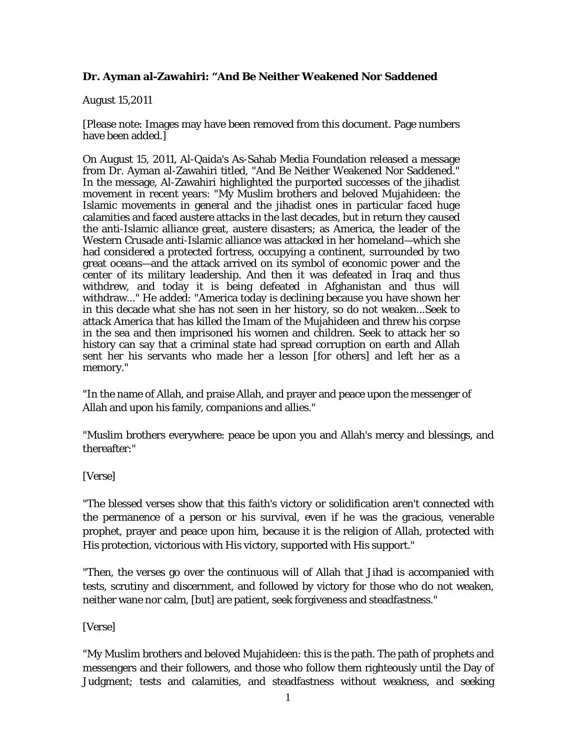## **Dr. Ayman al-Zawahiri: "And Be Neither Weakened Nor Saddened**

## August 15,2011

[Please note: Images may have been removed from this document. Page numbers have been added.]

On August 15, 2011, Al-Qaida's As-Sahab Media Foundation released a message from Dr. Ayman al-Zawahiri titled, "And Be Neither Weakened Nor Saddened." In the message, Al-Zawahiri highlighted the purported successes of the jihadist movement in recent years: "My Muslim brothers and beloved Mujahideen: the Islamic movements in general and the jihadist ones in particular faced huge calamities and faced austere attacks in the last decades, but in return they caused the anti-Islamic alliance great, austere disasters; as America, the leader of the Western Crusade anti-Islamic alliance was attacked in her homeland—which she had considered a protected fortress, occupying a continent, surrounded by two great oceans—and the attack arrived on its symbol of economic power and the center of its military leadership. And then it was defeated in Iraq and thus withdrew, and today it is being defeated in Afghanistan and thus will withdraw..." He added: "America today is declining because you have shown her in this decade what she has not seen in her history, so do not weaken...Seek to attack America that has killed the Imam of the Mujahideen and threw his corpse in the sea and then imprisoned his women and children. Seek to attack her so history can say that a criminal state had spread corruption on earth and Allah sent her his servants who made her a lesson [for others] and left her as a memory."

"In the name of Allah, and praise Allah, and prayer and peace upon the messenger of Allah and upon his family, companions and allies."

"Muslim brothers everywhere: peace be upon you and Allah's mercy and blessings, and thereafter:"

## [Verse]

"The blessed verses show that this faith's victory or solidification aren't connected with the permanence of a person or his survival, even if he was the gracious, venerable prophet, prayer and peace upon him, because it is the religion of Allah, protected with His protection, victorious with His victory, supported with His support."

"Then, the verses go over the continuous will of Allah that Jihad is accompanied with tests, scrutiny and discernment, and followed by victory for those who do not weaken, neither wane nor calm, [but] are patient, seek forgiveness and steadfastness."

## [Verse]

"My Muslim brothers and beloved Mujahideen: this is the path. The path of prophets and messengers and their followers, and those who follow them righteously until the Day of Judgment; tests and calamities, and steadfastness without weakness, and seeking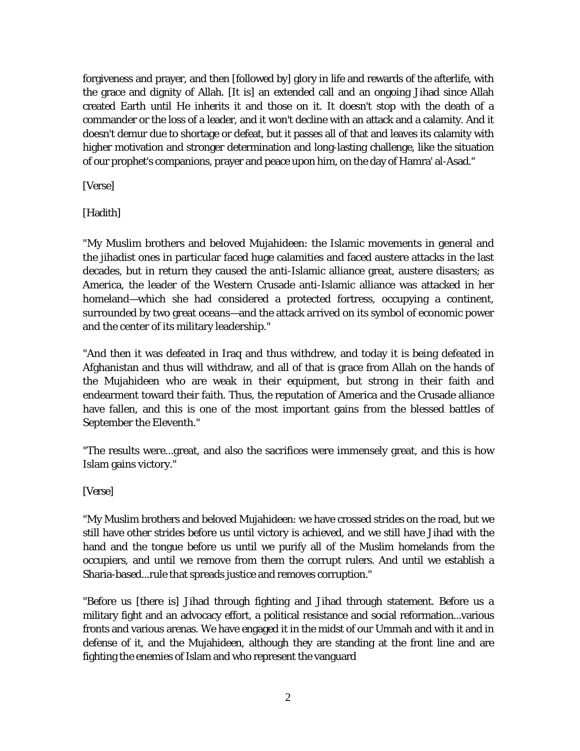forgiveness and prayer, and then [followed by] glory in life and rewards of the afterlife, with the grace and dignity of Allah. [It is] an extended call and an ongoing Jihad since Allah created Earth until He inherits it and those on it. It doesn't stop with the death of a commander or the loss of a leader, and it won't decline with an attack and a calamity. And it doesn't demur due to shortage or defeat, but it passes all of that and leaves its calamity with higher motivation and stronger determination and long-lasting challenge, like the situation of our prophet's companions, prayer and peace upon him, on the day of Hamra' al-Asad."

[Verse]

[Hadith]

"My Muslim brothers and beloved Mujahideen: the Islamic movements in general and the jihadist ones in particular faced huge calamities and faced austere attacks in the last decades, but in return they caused the anti-Islamic alliance great, austere disasters; as America, the leader of the Western Crusade anti-Islamic alliance was attacked in her homeland—which she had considered a protected fortress, occupying a continent, surrounded by two great oceans—and the attack arrived on its symbol of economic power and the center of its military leadership."

"And then it was defeated in Iraq and thus withdrew, and today it is being defeated in Afghanistan and thus will withdraw, and all of that is grace from Allah on the hands of the Mujahideen who are weak in their equipment, but strong in their faith and endearment toward their faith. Thus, the reputation of America and the Crusade alliance have fallen, and this is one of the most important gains from the blessed battles of September the Eleventh."

"The results were...great, and also the sacrifices were immensely great, and this is how Islam gains victory."

[Verse]

"My Muslim brothers and beloved Mujahideen: we have crossed strides on the road, but we still have other strides before us until victory is achieved, and we still have Jihad with the hand and the tongue before us until we purify all of the Muslim homelands from the occupiers, and until we remove from them the corrupt rulers. And until we establish a Sharia-based...rule that spreads justice and removes corruption."

"Before us [there is] Jihad through fighting and Jihad through statement. Before us a military fight and an advocacy effort, a political resistance and social reformation...various fronts and various arenas. We have engaged it in the midst of our Ummah and with it and in defense of it, and the Mujahideen, although they are standing at the front line and are fighting the enemies of Islam and who represent the vanguard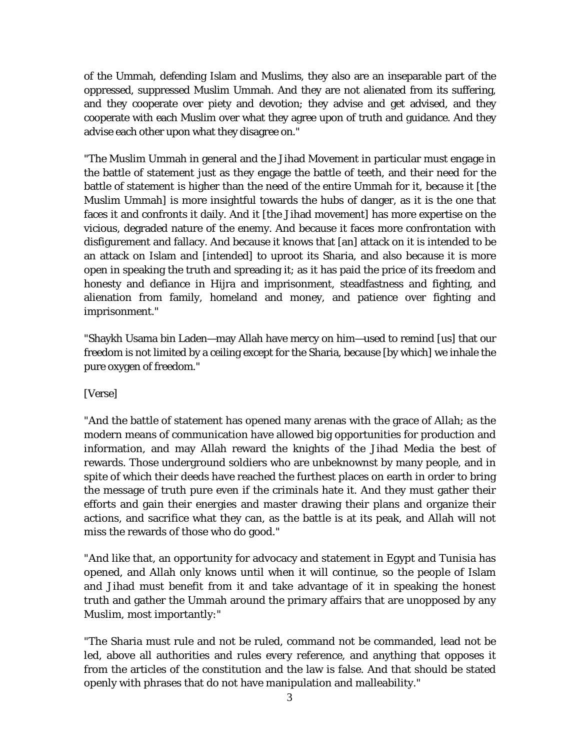of the Ummah, defending Islam and Muslims, they also are an inseparable part of the oppressed, suppressed Muslim Ummah. And they are not alienated from its suffering, and they cooperate over piety and devotion; they advise and get advised, and they cooperate with each Muslim over what they agree upon of truth and guidance. And they advise each other upon what they disagree on."

"The Muslim Ummah in general and the Jihad Movement in particular must engage in the battle of statement just as they engage the battle of teeth, and their need for the battle of statement is higher than the need of the entire Ummah for it, because it [the Muslim Ummah] is more insightful towards the hubs of danger, as it is the one that faces it and confronts it daily. And it [the Jihad movement] has more expertise on the vicious, degraded nature of the enemy. And because it faces more confrontation with disfigurement and fallacy. And because it knows that [an] attack on it is intended to be an attack on Islam and [intended] to uproot its Sharia, and also because it is more open in speaking the truth and spreading it; as it has paid the price of its freedom and honesty and defiance in Hijra and imprisonment, steadfastness and fighting, and alienation from family, homeland and money, and patience over fighting and imprisonment."

"Shaykh Usama bin Laden—may Allah have mercy on him—used to remind [us] that our freedom is not limited by a ceiling except for the Sharia, because [by which] we inhale the pure oxygen of freedom."

[Verse]

"And the battle of statement has opened many arenas with the grace of Allah; as the modern means of communication have allowed big opportunities for production and information, and may Allah reward the knights of the Jihad Media the best of rewards. Those underground soldiers who are unbeknownst by many people, and in spite of which their deeds have reached the furthest places on earth in order to bring the message of truth pure even if the criminals hate it. And they must gather their efforts and gain their energies and master drawing their plans and organize their actions, and sacrifice what they can, as the battle is at its peak, and Allah will not miss the rewards of those who do good."

"And like that, an opportunity for advocacy and statement in Egypt and Tunisia has opened, and Allah only knows until when it will continue, so the people of Islam and Jihad must benefit from it and take advantage of it in speaking the honest truth and gather the Ummah around the primary affairs that are unopposed by any Muslim, most importantly:"

"The Sharia must rule and not be ruled, command not be commanded, lead not be led, above all authorities and rules every reference, and anything that opposes it from the articles of the constitution and the law is false. And that should be stated openly with phrases that do not have manipulation and malleability."